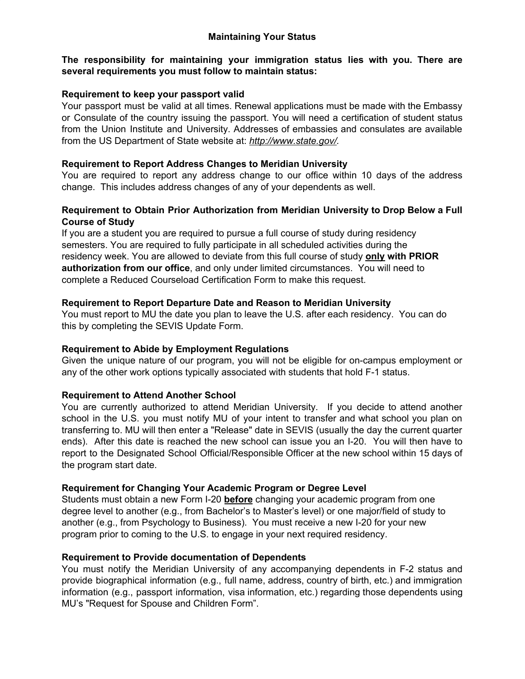### **Maintaining Your Status**

### **The responsibility for maintaining your immigration status lies with you. There are several requirements you must follow to maintain status:**

### **Requirement to keep your passport valid**

Your passport must be valid at all times. Renewal applications must be made with the Embassy or Consulate of the country issuing the passport. You will need a certification of student status from the Union Institute and University. Addresses of embassies and consulates are available from the US Department of State website at: *http://www.state.gov/.*

### **Requirement to Report Address Changes to Meridian University**

You are required to report any address change to our office within 10 days of the address change. This includes address changes of any of your dependents as well.

# **Requirement to Obtain Prior Authorization from Meridian University to Drop Below a Full Course of Study**

If you are a student you are required to pursue a full course of study during residency semesters. You are required to fully participate in all scheduled activities during the residency week. You are allowed to deviate from this full course of study **only with PRIOR authorization from our office**, and only under limited circumstances. You will need to complete a Reduced Courseload Certification Form to make this request.

# **Requirement to Report Departure Date and Reason to Meridian University**

You must report to MU the date you plan to leave the U.S. after each residency. You can do this by completing the SEVIS Update Form.

# **Requirement to Abide by Employment Regulations**

Given the unique nature of our program, you will not be eligible for on-campus employment or any of the other work options typically associated with students that hold F-1 status.

### **Requirement to Attend Another School**

You are currently authorized to attend Meridian University. If you decide to attend another school in the U.S. you must notify MU of your intent to transfer and what school you plan on transferring to. MU will then enter a "Release" date in SEVIS (usually the day the current quarter ends). After this date is reached the new school can issue you an I-20. You will then have to report to the Designated School Official/Responsible Officer at the new school within 15 days of the program start date.

### **Requirement for Changing Your Academic Program or Degree Level**

Students must obtain a new Form I-20 **before** changing your academic program from one degree level to another (e.g., from Bachelor's to Master's level) or one major/field of study to another (e.g., from Psychology to Business). You must receive a new I-20 for your new program prior to coming to the U.S. to engage in your next required residency.

### **Requirement to Provide documentation of Dependents**

You must notify the Meridian University of any accompanying dependents in F-2 status and provide biographical information (e.g., full name, address, country of birth, etc.) and immigration information (e.g., passport information, visa information, etc.) regarding those dependents using MU's "Request for Spouse and Children Form".